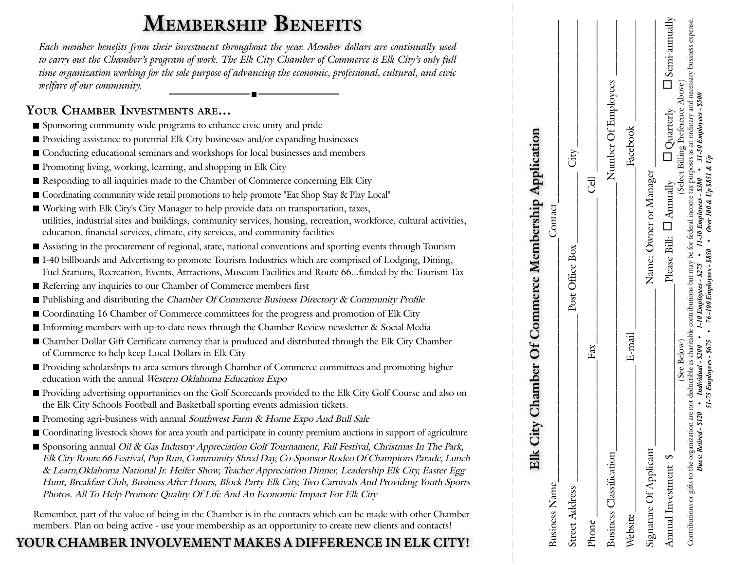# **Membership Benefits**

*Each member benefits from their investment throughout the year. Member dollars are continually used to carry out the Chamber's program of work. The Elk City Chamber of Commerce is Elk City's only full time organization working for the sole purpose of advancing the economic, professional, cultural, and civic welfare of our community.*

#### **Your Chamber Investments are…**

- Sponsoring community wide programs to enhance civic unity and pride
- Providing assistance to potential Elk City businesses and/or expanding businesses
- Conducting educational seminars and workshops for local businesses and members
- Promoting living, working, learning, and shopping in Elk City
- Responding to all inquiries made to the Chamber of Commerce concerning Elk City
- Coordinating community wide retail promotions to help promote "Eat Shop Stay & Play Local"
- Working with Elk City's City Manager to help provide data on transportation, taxes, utilities, industrial sites and buildings, community services, housing, recreation, workforce, cultural activities, education, financial services, climate, city services, and community facilities
- Assisting in the procurement of regional, state, national conventions and sporting events through Tourism
- I-40 billboards and Advertising to promote Tourism Industries which are comprised of Lodging, Dining, Fuel Stations, Recreation, Events, Attractions, Museum Facilities and Route 66...funded by the Tourism Tax
- Referring any inquiries to our Chamber of Commerce members first
- Publishing and distributing the Chamber Of Commerce Business Directory & Community Profile
- Coordinating 16 Chamber of Commerce committees for the progress and promotion of Elk City
- Informing members with up-to-date news through the Chamber Review newsletter & Social Media
- Chamber Dollar Gift Certificate currency that is produced and distributed through the Elk City Chamber of Commerce to help keep Local Dollars in Elk City
- Providing scholarships to area seniors through Chamber of Commerce committees and promoting higher education with the annual Western Oklahoma Education Expo
- Providing advertising opportunities on the Golf Scorecards provided to the Elk City Golf Course and also on the Elk City Schools Football and Basketball sporting events admission tickets.
- **Promoting agri-business with annual Southwest Farm & Home Expo And Bull Sale**
- Coordinating livestock shows for area youth and participate in county premium auctions in support of agriculture
- Sponsoring annual Oil & Gas Industry Appreciation Golf Tournament, Fall Festival, Christmas In The Park, Elk City Route 66 Festival, Pup Run, Community Shred Day, Co-Sponsor Rodeo Of Champions Parade, Lunch & Learn,Oklahoma National Jr. Heifer Show, Teacher Appreciation Dinner, Leadership Elk City, Easter Egg Hunt, Breakfast Club, Business After Hours, Block Party Elk City, Two Carnivals And Providing Youth Sports Photos. All To Help Promote Quality Of Life And An Economic Impact For Elk City

Remember, part of the value of being in the Chamber is in the contacts which can be made with other Chamber members. Plan on being active - use your membership as an opportunity to create new clients and contacts!

### **YOUR CHAMBER INVOLVEMENT MAKES A DIFFERENCE IN ELK CITY!**

|                                | Elk City Chamber Of Commerce Membership Application                                                                      |                                                                                                                                                                                     |
|--------------------------------|--------------------------------------------------------------------------------------------------------------------------|-------------------------------------------------------------------------------------------------------------------------------------------------------------------------------------|
| <b>Business Name</b>           | Contact                                                                                                                  |                                                                                                                                                                                     |
| <b>Street Address</b>          | Post Office Box                                                                                                          | $\overline{\text{City}}$ .                                                                                                                                                          |
| Phone                          | Fax                                                                                                                      | $\vec{c}$                                                                                                                                                                           |
| <b>Business Classification</b> |                                                                                                                          | Number Of Employees                                                                                                                                                                 |
| Website                        | E-mail                                                                                                                   | Facebook                                                                                                                                                                            |
| Signature Of Applicant         | Name: Owner or Manager                                                                                                   |                                                                                                                                                                                     |
| Annual Investment \$           |                                                                                                                          | Please Bill: $\square$ Annually $\square$ Quarterly $\square$ Semi-annually                                                                                                         |
|                                | (See Below)                                                                                                              | (Select Billing Preference Above)                                                                                                                                                   |
|                                | Dues: Retired - \$120 • Individual - \$200 • 1-10 Employees - \$275 • 11-30 Employees - \$380 • \$1-50 Employees - \$500 | Contributions or gifts to the organization are not deductible as charitable contributions but may be for federal income tax purposes as an ordinary and necessary business expense. |
|                                | 51-75 Employees - $$675 \rightarrow 76$ -100 Employees - $$850 \rightarrow Over 100 \& Up 8851 \& Up$                    |                                                                                                                                                                                     |